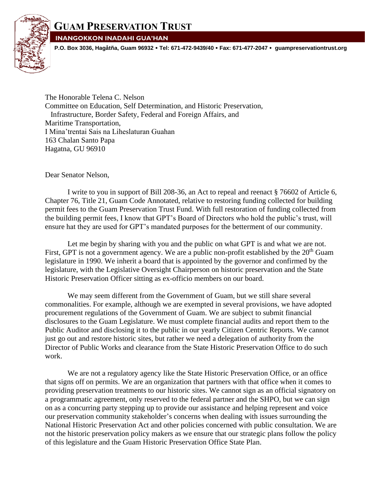

## **INANGOKKON INADAHI GUA'HAN**

**P.O. Box 3036, Hagåtña, Guam 96932 Tel: 671-472-9439/40 Fax: 671-477-2047 guampreservationtrust.org**

The Honorable Telena C. Nelson Committee on Education, Self Determination, and Historic Preservation, Infrastructure, Border Safety, Federal and Foreign Affairs, and Maritime Transportation, I Mina'trentai Sais na Liheslaturan Guahan 163 Chalan Santo Papa Hagatna, GU 96910

Dear Senator Nelson,

I write to you in support of Bill 208-36, an Act to repeal and reenact § 76602 of Article 6, Chapter 76, Title 21, Guam Code Annotated, relative to restoring funding collected for building permit fees to the Guam Preservation Trust Fund. With full restoration of funding collected from the building permit fees, I know that GPT's Board of Directors who hold the public's trust, will ensure hat they are used for GPT's mandated purposes for the betterment of our community.

Let me begin by sharing with you and the public on what GPT is and what we are not. First, GPT is not a government agency. We are a public non-profit established by the  $20<sup>th</sup>$  Guam legislature in 1990. We inherit a board that is appointed by the governor and confirmed by the legislature, with the Legislative Oversight Chairperson on historic preservation and the State Historic Preservation Officer sitting as ex-officio members on our board.

We may seem different from the Government of Guam, but we still share several commonalities. For example, although we are exempted in several provisions, we have adopted procurement regulations of the Government of Guam. We are subject to submit financial disclosures to the Guam Legislature. We must complete financial audits and report them to the Public Auditor and disclosing it to the public in our yearly Citizen Centric Reports. We cannot just go out and restore historic sites, but rather we need a delegation of authority from the Director of Public Works and clearance from the State Historic Preservation Office to do such work.

We are not a regulatory agency like the State Historic Preservation Office, or an office that signs off on permits. We are an organization that partners with that office when it comes to providing preservation treatments to our historic sites. We cannot sign as an official signatory on a programmatic agreement, only reserved to the federal partner and the SHPO, but we can sign on as a concurring party stepping up to provide our assistance and helping represent and voice our preservation community stakeholder's concerns when dealing with issues surrounding the National Historic Preservation Act and other policies concerned with public consultation. We are not the historic preservation policy makers as we ensure that our strategic plans follow the policy of this legislature and the Guam Historic Preservation Office State Plan.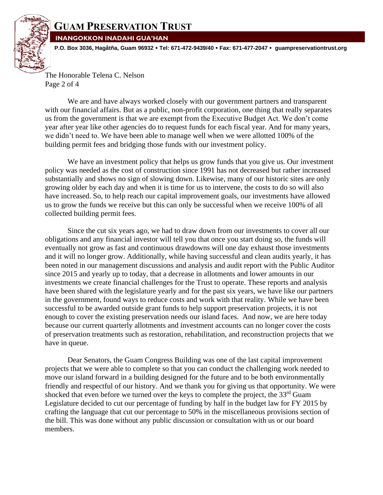

## **GUAM PRESERVATION TRUST**

**INANGOKKON INADAHI GUA'HAN**

**P.O. Box 3036, Hagåtña, Guam 96932 Tel: 671-472-9439/40 Fax: 671-477-2047 guampreservationtrust.org**

The Honorable Telena C. Nelson Page 2 of 4

We are and have always worked closely with our government partners and transparent with our financial affairs. But as a public, non-profit corporation, one thing that really separates us from the government is that we are exempt from the Executive Budget Act. We don't come year after year like other agencies do to request funds for each fiscal year. And for many years, we didn't need to. We have been able to manage well when we were allotted 100% of the building permit fees and bridging those funds with our investment policy.

We have an investment policy that helps us grow funds that you give us. Our investment policy was needed as the cost of construction since 1991 has not decreased but rather increased substantially and shows no sign of slowing down. Likewise, many of our historic sites are only growing older by each day and when it is time for us to intervene, the costs to do so will also have increased. So, to help reach our capital improvement goals, our investments have allowed us to grow the funds we receive but this can only be successful when we receive 100% of all collected building permit fees.

Since the cut six years ago, we had to draw down from our investments to cover all our obligations and any financial investor will tell you that once you start doing so, the funds will eventually not grow as fast and continuous drawdowns will one day exhaust those investments and it will no longer grow. Additionally, while having successful and clean audits yearly, it has been noted in our management discussions and analysis and audit report with the Public Auditor since 2015 and yearly up to today, that a decrease in allotments and lower amounts in our investments we create financial challenges for the Trust to operate. These reports and analysis have been shared with the legislature yearly and for the past six years, we have like our partners in the government, found ways to reduce costs and work with that reality. While we have been successful to be awarded outside grant funds to help support preservation projects, it is not enough to cover the existing preservation needs our island faces. And now, we are here today because our current quarterly allotments and investment accounts can no longer cover the costs of preservation treatments such as restoration, rehabilitation, and reconstruction projects that we have in queue.

Dear Senators, the Guam Congress Building was one of the last capital improvement projects that we were able to complete so that you can conduct the challenging work needed to move our island forward in a building designed for the future and to be both environmentally friendly and respectful of our history. And we thank you for giving us that opportunity. We were shocked that even before we turned over the keys to complete the project, the 33<sup>rd</sup> Guam Legislature decided to cut our percentage of funding by half in the budget law for FY 2015 by crafting the language that cut our percentage to 50% in the miscellaneous provisions section of the bill. This was done without any public discussion or consultation with us or our board members.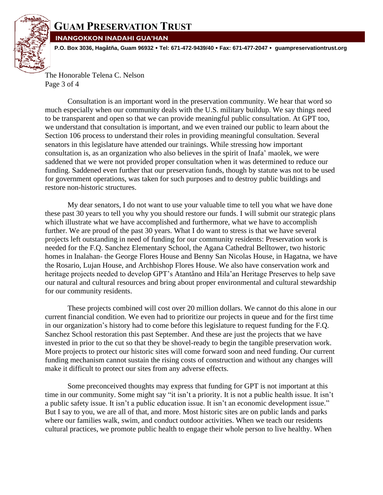

## **GUAM PRESERVATION TRUST**

**INANGOKKON INADAHI GUA'HAN**

**P.O. Box 3036, Hagåtña, Guam 96932 Tel: 671-472-9439/40 Fax: 671-477-2047 guampreservationtrust.org**

The Honorable Telena C. Nelson Page 3 of 4

Consultation is an important word in the preservation community. We hear that word so much especially when our community deals with the U.S. military buildup. We say things need to be transparent and open so that we can provide meaningful public consultation. At GPT too, we understand that consultation is important, and we even trained our public to learn about the Section 106 process to understand their roles in providing meaningful consultation. Several senators in this legislature have attended our trainings. While stressing how important consultation is, as an organization who also believes in the spirit of Inafa' maolek, we were saddened that we were not provided proper consultation when it was determined to reduce our funding. Saddened even further that our preservation funds, though by statute was not to be used for government operations, was taken for such purposes and to destroy public buildings and restore non-historic structures.

My dear senators, I do not want to use your valuable time to tell you what we have done these past 30 years to tell you why you should restore our funds. I will submit our strategic plans which illustrate what we have accomplished and furthermore, what we have to accomplish further. We are proud of the past 30 years. What I do want to stress is that we have several projects left outstanding in need of funding for our community residents: Preservation work is needed for the F.Q. Sanchez Elementary School, the Agana Cathedral Belltower, two historic homes in Inalahan- the George Flores House and Benny San Nicolas House, in Hagatna, we have the Rosario, Lujan House, and Archbishop Flores House. We also have conservation work and heritage projects needed to develop GPT's Atantåno and Hila'an Heritage Preserves to help save our natural and cultural resources and bring about proper environmental and cultural stewardship for our community residents.

These projects combined will cost over 20 million dollars. We cannot do this alone in our current financial condition. We even had to prioritize our projects in queue and for the first time in our organization's history had to come before this legislature to request funding for the F.Q. Sanchez School restoration this past September. And these are just the projects that we have invested in prior to the cut so that they be shovel-ready to begin the tangible preservation work. More projects to protect our historic sites will come forward soon and need funding. Our current funding mechanism cannot sustain the rising costs of construction and without any changes will make it difficult to protect our sites from any adverse effects.

Some preconceived thoughts may express that funding for GPT is not important at this time in our community. Some might say "it isn't a priority. It is not a public health issue. It isn't a public safety issue. It isn't a public education issue. It isn't an economic development issue." But I say to you, we are all of that, and more. Most historic sites are on public lands and parks where our families walk, swim, and conduct outdoor activities. When we teach our residents cultural practices, we promote public health to engage their whole person to live healthy. When